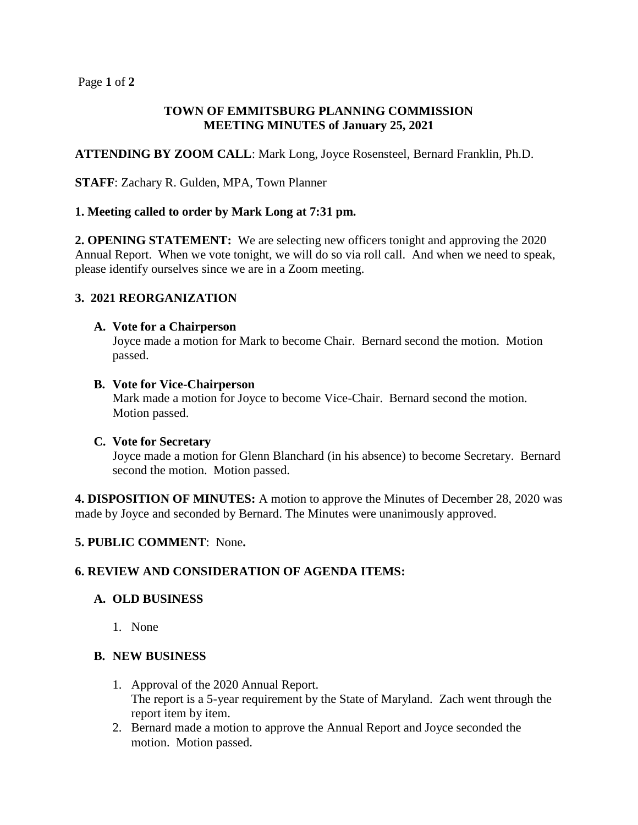#### Page **1** of **2**

#### **TOWN OF EMMITSBURG PLANNING COMMISSION MEETING MINUTES of January 25, 2021**

**ATTENDING BY ZOOM CALL**: Mark Long, Joyce Rosensteel, Bernard Franklin, Ph.D.

**STAFF**: Zachary R. Gulden, MPA, Town Planner

### **1. Meeting called to order by Mark Long at 7:31 pm.**

**2. OPENING STATEMENT:** We are selecting new officers tonight and approving the 2020 Annual Report. When we vote tonight, we will do so via roll call. And when we need to speak, please identify ourselves since we are in a Zoom meeting.

## **3. 2021 REORGANIZATION**

#### **A. Vote for a Chairperson**

Joyce made a motion for Mark to become Chair. Bernard second the motion. Motion passed.

#### **B. Vote for Vice-Chairperson**

Mark made a motion for Joyce to become Vice-Chair. Bernard second the motion. Motion passed.

#### **C. Vote for Secretary**

Joyce made a motion for Glenn Blanchard (in his absence) to become Secretary. Bernard second the motion. Motion passed.

**4. DISPOSITION OF MINUTES:** A motion to approve the Minutes of December 28, 2020 was made by Joyce and seconded by Bernard. The Minutes were unanimously approved.

#### **5. PUBLIC COMMENT**: None**.**

## **6. REVIEW AND CONSIDERATION OF AGENDA ITEMS:**

#### **A. OLD BUSINESS**

1. None

#### **B. NEW BUSINESS**

- 1. Approval of the 2020 Annual Report. The report is a 5-year requirement by the State of Maryland. Zach went through the report item by item.
- 2. Bernard made a motion to approve the Annual Report and Joyce seconded the motion. Motion passed.